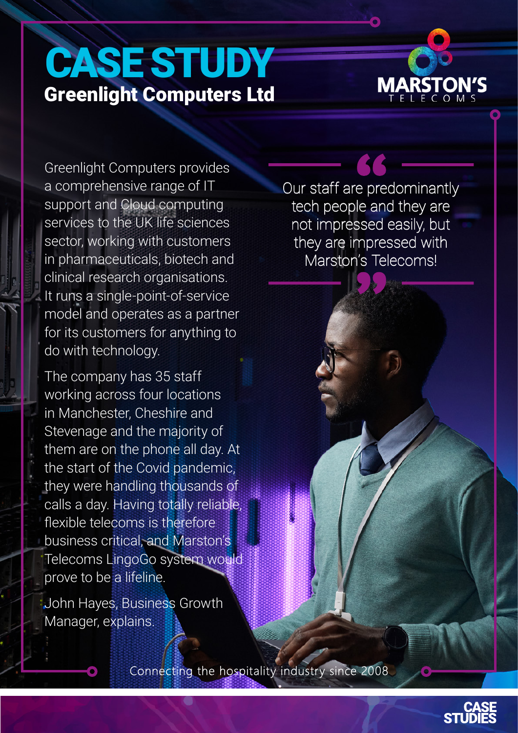# CASE STUDY Greenlight Computers Ltd

Greenlight Computers provides a comprehensive range of IT support and Cloud computing services to the UK life sciences sector, working with customers in pharmaceuticals, biotech and clinical research organisations. It runs a single-point-of-service model and operates as a partner for its customers for anything to do with technology.

The company has 35 staff working across four locations in Manchester, Cheshire and Stevenage and the majority of them are on the phone all day. At the start of the Covid pandemic, they were handling thousands of calls a day. Having totally reliable, flexible telecoms is therefore business critical, and Marston's Telecoms LingoGo system would prove to be a lifeline.

John Hayes, Business Growth Manager, explains.

Connecting the hospitality industry since 2008

Our staff are predominantly tech people and they are not impressed easily, but they are impressed with Marston's Telecoms!

**MARSTON'S** L E C O M S